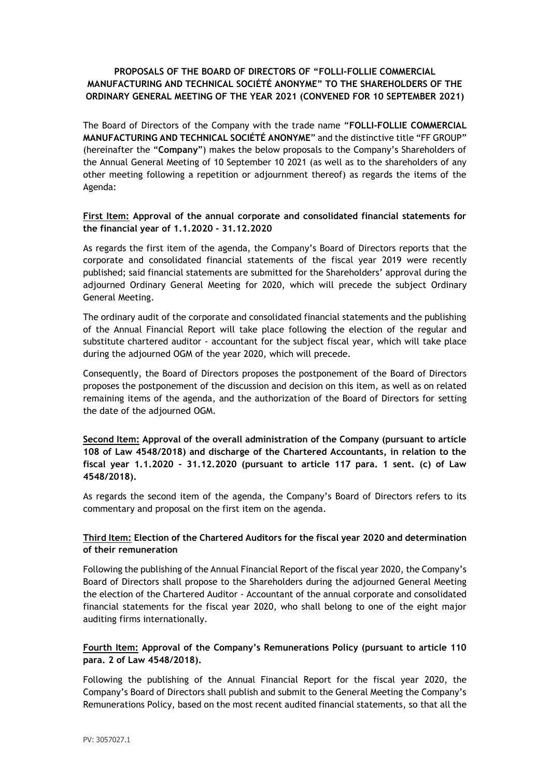# **PROPOSALS OF THE BOARD OF DIRECTORS OF "FOLLI-FOLLIE COMMERCIAL MANUFACTURING AND TECHNICAL SOCIÉTÉ ANONYME" TO THE SHAREHOLDERS OF THE ORDINARY GENERAL MEETING OF THE YEAR 2021 (CONVENED FOR 10 SEPTEMBER 2021)**

The Board of Directors of the Company with the trade name "**FOLLI-FOLLIE COMMERCIAL MANUFACTURING AND TECHNICAL SOCIÉTÉ ANONYME**" and the distinctive title "FF GROUP" (hereinafter the "**Company**") makes the below proposals to the Company's Shareholders of the Annual General Meeting of 10 September 10 2021 (as well as to the shareholders of any other meeting following a repetition or adjournment thereof) as regards the items of the Agenda:

## **First Item: Approval of the annual corporate and consolidated financial statements for the financial year of 1.1.2020 - 31.12.2020**

As regards the first item of the agenda, the Company's Board of Directors reports that the corporate and consolidated financial statements of the fiscal year 2019 were recently published; said financial statements are submitted for the Shareholders' approval during the adjourned Ordinary General Meeting for 2020, which will precede the subject Ordinary General Meeting.

The ordinary audit of the corporate and consolidated financial statements and the publishing of the Annual Financial Report will take place following the election of the regular and substitute chartered auditor - accountant for the subject fiscal year, which will take place during the adjourned OGM of the year 2020, which will precede.

Consequently, the Board of Directors proposes the postponement of the Board of Directors proposes the postponement of the discussion and decision on this item, as well as on related remaining items of the agenda, and the authorization of the Board of Directors for setting the date of the adjourned OGM.

**Second Item: Approval of the overall administration of the Company (pursuant to article 108 of Law 4548/2018) and discharge of the Chartered Accountants, in relation to the fiscal year 1.1.2020 - 31.12.2020 (pursuant to article 117 para. 1 sent. (c) of Law 4548/2018).**

As regards the second item of the agenda, the Company's Board of Directors refers to its commentary and proposal on the first item on the agenda.

## **Third Item: Election of the Chartered Auditors for the fiscal year 2020 and determination of their remuneration**

Following the publishing of the Annual Financial Report of the fiscal year 2020, the Company's Board of Directors shall propose to the Shareholders during the adjourned General Meeting the election of the Chartered Auditor - Accountant of the annual corporate and consolidated financial statements for the fiscal year 2020, who shall belong to one of the eight major auditing firms internationally.

# **Fourth Item: Approval of the Company's Remunerations Policy (pursuant to article 110 para. 2 of Law 4548/2018).**

Following the publishing of the Annual Financial Report for the fiscal year 2020, the Company's Board of Directors shall publish and submit to the General Meeting the Company's Remunerations Policy, based on the most recent audited financial statements, so that all the